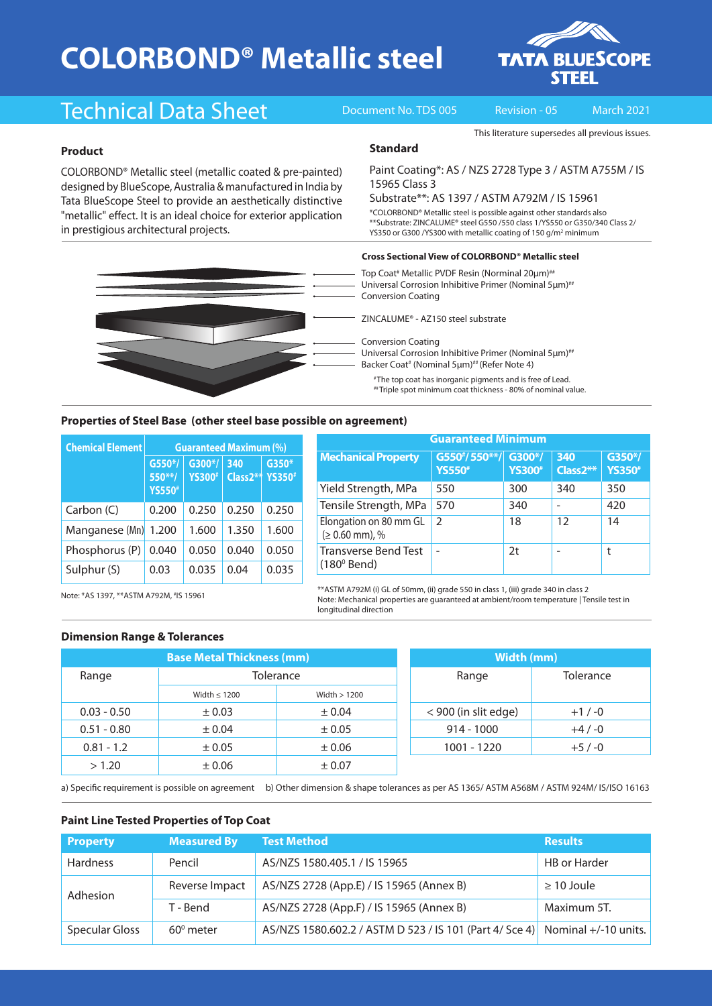# **COLORBOND® Metallic steel**



## Technical Data Sheet Document No. TDS 005 Revision - 05 March 2021

This literature supersedes all previous issues.

### **Product**

COLORBOND® Metallic steel (metallic coated & pre-painted) designed by BlueScope, Australia & manufactured in India by Tata BlueScope Steel to provide an aesthetically distinctive "metallic" effect. It is an ideal choice for exterior application in prestigious architectural projects.

#### **Standard**

Paint Coating\*: AS / NZS 2728 Type 3 / ASTM A755M / IS 15965 Class 3

Substrate\*\*: AS 1397 / ASTM A792M / IS 15961

\*COLORBOND® Metallic steel is possible against other standards also \*\*Substrate: ZINCALUME® steel G550 /550 class 1/YS550 or G350/340 Class 2/ YS350 or G300 /YS300 with metallic coating of 150 g/m<sup>2</sup> minimum

#### **Cross Sectional View of COLORBOND® Metallic steel**

Top Coat<sup>#</sup> Metallic PVDF Resin (Norminal 20μm)<sup>##</sup> Universal Corrosion Inhibitive Primer (Nominal 5μm)<sup>##</sup> Conversion Coating

ZINCALUME® - AZ150 steel substrate

Conversion Coating

Universal Corrosion Inhibitive Primer (Nominal 5μm)<sup>##</sup> Backer Coat<sup>#</sup> (Nominal 5μm)<sup>##</sup> (Refer Note 4)

# The top coat has inorganic pigments and is free of Lead. ## Triple spot minimum coat thickness - 80% of nominal value.

#### **Properties of Steel Base (other steel base possible on agreement)**

| <b>Chemical Element</b> | <b>Guaranteed Maximum (%)</b>        |                          |                              |                         |  |  |
|-------------------------|--------------------------------------|--------------------------|------------------------------|-------------------------|--|--|
|                         | $G550*/$<br>550**/<br><b>YS550</b> # | G300*/<br><b>YS300</b> # | 340<br>Class <sub>2</sub> ** | G350*<br><b>YS350</b> # |  |  |
| Carbon (C)              | 0.200                                | 0.250                    | 0.250                        | 0.250                   |  |  |
| Manganese (Mn)          | 1.200                                | 1.600                    | 1.350                        | 1.600                   |  |  |
| Phosphorus (P)          | 0.040                                | 0.050                    | 0.040                        | 0.050                   |  |  |
| Sulphur (S)             | 0.03                                 | 0.035                    | 0.04                         | 0.035                   |  |  |

| <b>Guaranteed Minimum</b>                           |                                |                          |                 |                          |  |  |
|-----------------------------------------------------|--------------------------------|--------------------------|-----------------|--------------------------|--|--|
| <b>Mechanical Property</b>                          | G550*/550**/<br><b>YS550</b> # | G300*/<br><b>YS300</b> # | 340<br>Class2** | G350*/<br><b>YS350</b> # |  |  |
| Yield Strength, MPa                                 | 550                            | 300                      | 340             | 350                      |  |  |
| Tensile Strength, MPa                               | 570                            | 340                      |                 | 420                      |  |  |
| Elongation on 80 mm GL<br>$(≥ 0.60$ mm), %          | $\mathcal{P}$                  | 18                       | 12              | 14                       |  |  |
| <b>Transverse Bend Test</b><br>$(180^{\circ}$ Bend) |                                | 2t                       |                 |                          |  |  |

\*\*ASTM A792M (i) GL of 50mm, (ii) grade 550 in class 1, (iii) grade 340 in class 2 Note: Mechanical properties are guaranteed at ambient/room temperature | Tensile test in

Note: \*AS 1397, \*\*ASTM A792M, # IS 15961

#### **Dimension Range & Tolerances**

| <b>Base Metal Thickness (mm)</b> |                   |               | Width (mm)           |           |  |
|----------------------------------|-------------------|---------------|----------------------|-----------|--|
| Range                            | Tolerance         |               | Range                | Tolerance |  |
|                                  | Width $\leq 1200$ | Width $>1200$ |                      |           |  |
| $0.03 - 0.50$                    | $\pm 0.03$        | $\pm 0.04$    | < 900 (in slit edge) | $+1/ -0$  |  |
| $0.51 - 0.80$                    | ± 0.04            | $\pm 0.05$    | $914 - 1000$         | $+4/ -0$  |  |
| $0.81 - 1.2$                     | $\pm 0.05$        | $\pm 0.06$    | 1001 - 1220          | $+5/ -0$  |  |
| > 1.20                           | $\pm 0.06$        | ± 0.07        |                      |           |  |

| Width (mm)           |           |  |  |  |
|----------------------|-----------|--|--|--|
| Range                | Tolerance |  |  |  |
| < 900 (in slit edge) | $+1/ -0$  |  |  |  |
| $914 - 1000$         | $+4/ -0$  |  |  |  |
| 1001 - 1220          | $+5/ -0$  |  |  |  |

a) Specific requirement is possible on agreement b) Other dimension & shape tolerances as per AS 1365/ ASTM A568M / ASTM 924M/ IS/ISO 16163

longitudinal direction

### **Paint Line Tested Properties of Top Coat**

| <b>Property</b>       | <b>Measured By</b> | <b>Test Method</b>                                                           | <b>Results</b>      |
|-----------------------|--------------------|------------------------------------------------------------------------------|---------------------|
| <b>Hardness</b>       | Pencil             | AS/NZS 1580.405.1 / IS 15965                                                 | <b>HB</b> or Harder |
| Adhesion              | Reverse Impact     | AS/NZS 2728 (App.E) / IS 15965 (Annex B)                                     | $\geq$ 10 Joule     |
|                       | T - Bend           | AS/NZS 2728 (App.F) / IS 15965 (Annex B)                                     | Maximum 5T.         |
| <b>Specular Gloss</b> | $60^{\circ}$ meter | AS/NZS 1580.602.2 / ASTM D 523 / IS 101 (Part 4/ Sce 4) Nominal +/-10 units. |                     |